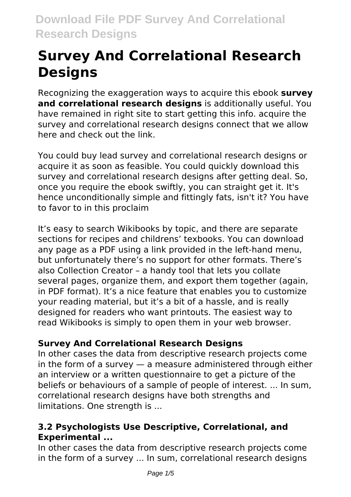# **Survey And Correlational Research Designs**

Recognizing the exaggeration ways to acquire this ebook **survey and correlational research designs** is additionally useful. You have remained in right site to start getting this info. acquire the survey and correlational research designs connect that we allow here and check out the link.

You could buy lead survey and correlational research designs or acquire it as soon as feasible. You could quickly download this survey and correlational research designs after getting deal. So, once you require the ebook swiftly, you can straight get it. It's hence unconditionally simple and fittingly fats, isn't it? You have to favor to in this proclaim

It's easy to search Wikibooks by topic, and there are separate sections for recipes and childrens' texbooks. You can download any page as a PDF using a link provided in the left-hand menu, but unfortunately there's no support for other formats. There's also Collection Creator – a handy tool that lets you collate several pages, organize them, and export them together (again, in PDF format). It's a nice feature that enables you to customize your reading material, but it's a bit of a hassle, and is really designed for readers who want printouts. The easiest way to read Wikibooks is simply to open them in your web browser.

# **Survey And Correlational Research Designs**

In other cases the data from descriptive research projects come in the form of a survey — a measure administered through either an interview or a written questionnaire to get a picture of the beliefs or behaviours of a sample of people of interest. ... In sum, correlational research designs have both strengths and limitations. One strength is ...

# **3.2 Psychologists Use Descriptive, Correlational, and Experimental ...**

In other cases the data from descriptive research projects come in the form of a survey ... In sum, correlational research designs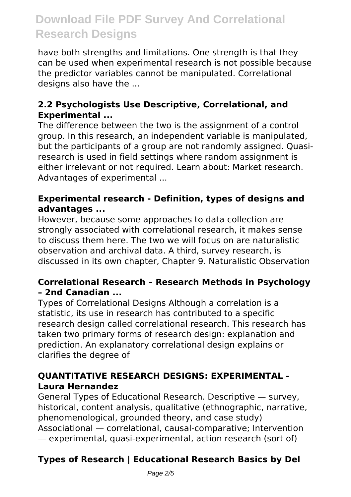have both strengths and limitations. One strength is that they can be used when experimental research is not possible because the predictor variables cannot be manipulated. Correlational designs also have the ...

### **2.2 Psychologists Use Descriptive, Correlational, and Experimental ...**

The difference between the two is the assignment of a control group. In this research, an independent variable is manipulated, but the participants of a group are not randomly assigned. Quasiresearch is used in field settings where random assignment is either irrelevant or not required. Learn about: Market research. Advantages of experimental ...

### **Experimental research - Definition, types of designs and advantages ...**

However, because some approaches to data collection are strongly associated with correlational research, it makes sense to discuss them here. The two we will focus on are naturalistic observation and archival data. A third, survey research, is discussed in its own chapter, Chapter 9. Naturalistic Observation

### **Correlational Research – Research Methods in Psychology – 2nd Canadian ...**

Types of Correlational Designs Although a correlation is a statistic, its use in research has contributed to a specific research design called correlational research. This research has taken two primary forms of research design: explanation and prediction. An explanatory correlational design explains or clarifies the degree of

# **QUANTITATIVE RESEARCH DESIGNS: EXPERIMENTAL - Laura Hernandez**

General Types of Educational Research. Descriptive — survey, historical, content analysis, qualitative (ethnographic, narrative, phenomenological, grounded theory, and case study) Associational — correlational, causal-comparative; Intervention — experimental, quasi-experimental, action research (sort of)

# **Types of Research | Educational Research Basics by Del**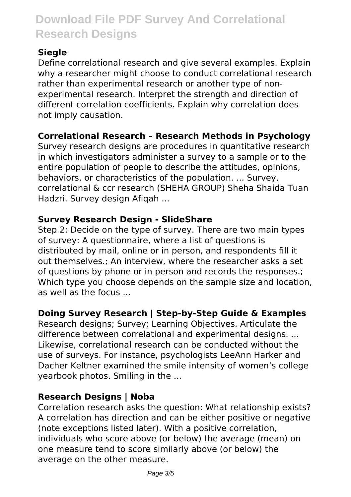# **Siegle**

Define correlational research and give several examples. Explain why a researcher might choose to conduct correlational research rather than experimental research or another type of nonexperimental research. Interpret the strength and direction of different correlation coefficients. Explain why correlation does not imply causation.

# **Correlational Research – Research Methods in Psychology**

Survey research designs are procedures in quantitative research in which investigators administer a survey to a sample or to the entire population of people to describe the attitudes, opinions, behaviors, or characteristics of the population. ... Survey, correlational & ccr research (SHEHA GROUP) Sheha Shaida Tuan Hadzri. Survey design Afiqah ...

# **Survey Research Design - SlideShare**

Step 2: Decide on the type of survey. There are two main types of survey: A questionnaire, where a list of questions is distributed by mail, online or in person, and respondents fill it out themselves.; An interview, where the researcher asks a set of questions by phone or in person and records the responses.; Which type you choose depends on the sample size and location, as well as the focus ...

# **Doing Survey Research | Step-by-Step Guide & Examples**

Research designs; Survey; Learning Objectives. Articulate the difference between correlational and experimental designs. ... Likewise, correlational research can be conducted without the use of surveys. For instance, psychologists LeeAnn Harker and Dacher Keltner examined the smile intensity of women's college yearbook photos. Smiling in the ...

#### **Research Designs | Noba**

Correlation research asks the question: What relationship exists? A correlation has direction and can be either positive or negative (note exceptions listed later). With a positive correlation, individuals who score above (or below) the average (mean) on one measure tend to score similarly above (or below) the average on the other measure.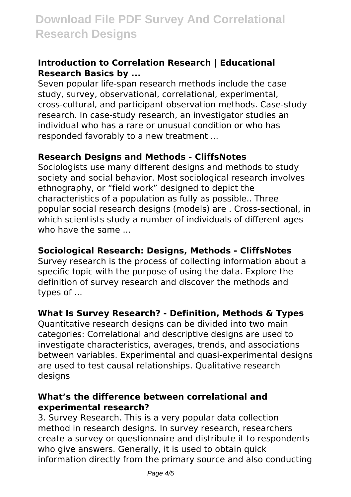#### **Introduction to Correlation Research | Educational Research Basics by ...**

Seven popular life‐span research methods include the case study, survey, observational, correlational, experimental, cross‐cultural, and participant observation methods. Case-study research. In case‐study research, an investigator studies an individual who has a rare or unusual condition or who has responded favorably to a new treatment ...

#### **Research Designs and Methods - CliffsNotes**

Sociologists use many different designs and methods to study society and social behavior. Most sociological research involves ethnography, or "field work" designed to depict the characteristics of a population as fully as possible.. Three popular social research designs (models) are . Cross‐sectional, in which scientists study a number of individuals of different ages who have the same

#### **Sociological Research: Designs, Methods - CliffsNotes**

Survey research is the process of collecting information about a specific topic with the purpose of using the data. Explore the definition of survey research and discover the methods and types of ...

#### **What Is Survey Research? - Definition, Methods & Types**

Quantitative research designs can be divided into two main categories: Correlational and descriptive designs are used to investigate characteristics, averages, trends, and associations between variables. Experimental and quasi-experimental designs are used to test causal relationships. Qualitative research desians

#### **What's the difference between correlational and experimental research?**

3. Survey Research. This is a very popular data collection method in research designs. In survey research, researchers create a survey or questionnaire and distribute it to respondents who give answers. Generally, it is used to obtain quick information directly from the primary source and also conducting